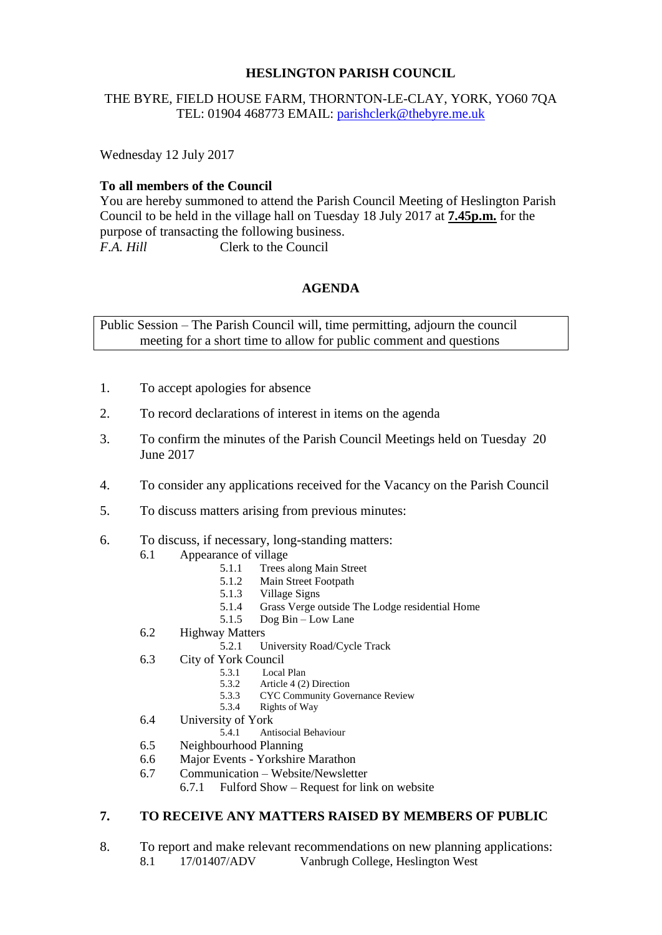### **HESLINGTON PARISH COUNCIL**

## THE BYRE, FIELD HOUSE FARM, THORNTON-LE-CLAY, YORK, YO60 7QA TEL: 01904 468773 EMAIL: [parishclerk@thebyre.me.uk](mailto:parishclerk@thebyre.me.uk)

Wednesday 12 July 2017

## **To all members of the Council**

You are hereby summoned to attend the Parish Council Meeting of Heslington Parish Council to be held in the village hall on Tuesday 18 July 2017 at **7.45p.m.** for the purpose of transacting the following business. *F.A. Hill* Clerk to the Council

## **AGENDA**

Public Session – The Parish Council will, time permitting, adjourn the council meeting for a short time to allow for public comment and questions

- 1. To accept apologies for absence
- 2. To record declarations of interest in items on the agenda
- 3. To confirm the minutes of the Parish Council Meetings held on Tuesday 20 June 2017
- 4. To consider any applications received for the Vacancy on the Parish Council
- 5. To discuss matters arising from previous minutes:
- 6. To discuss, if necessary, long-standing matters:
	- 6.1 Appearance of village  $511$  Trees
		- Trees along Main Street
		- 5.1.2 Main Street Footpath<br>5.1.3 Village Signs
		- Village Signs
		- 5.1.4 Grass Verge outside The Lodge residential Home
		- 5.1.5 Dog Bin Low Lane
	- 6.2 Highway Matters
		- 5.2.1 University Road/Cycle Track
	- 6.3 City of York Council
		- 5.3.1 Local Plan
		- 5.3.2 Article 4 (2) Direction<br>5.3.3 CYC Community Gove
		- 5.3.3 CYC Community Governance Review
		- 5.3.4 Rights of Way
	- 6.4 University of York
		- 5.4.1 Antisocial Behaviour
	- 6.5 Neighbourhood Planning
	- 6.6 Major Events Yorkshire Marathon
	- 6.7 Communication Website/Newsletter
		- 6.7.1 Fulford Show Request for link on website

## **7. TO RECEIVE ANY MATTERS RAISED BY MEMBERS OF PUBLIC**

- 8. To report and make relevant recommendations on new planning applications:
	- 8.1 17/01407/ADV Vanbrugh College, Heslington West